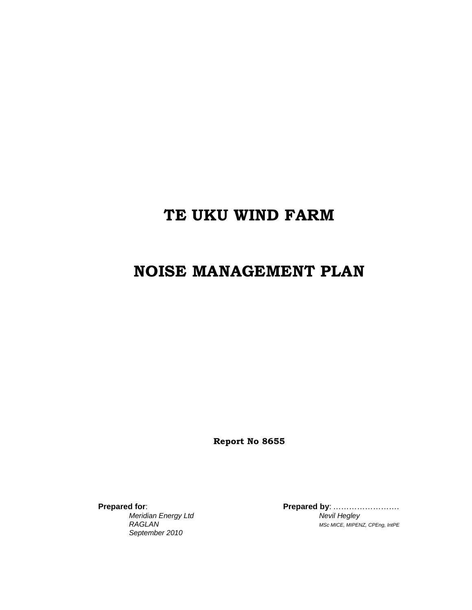# **TE UKU WIND FARM**

# **NOISE MANAGEMENT PLAN**

**Report No 8655** 

**Prepared for**: **Prepared by**: ……………………. *September 2010* 

**Meridian Energy Ltd** Nevil Hegley *RAGLAN MSc MICE, MIPENZ, CPEng, IntPE*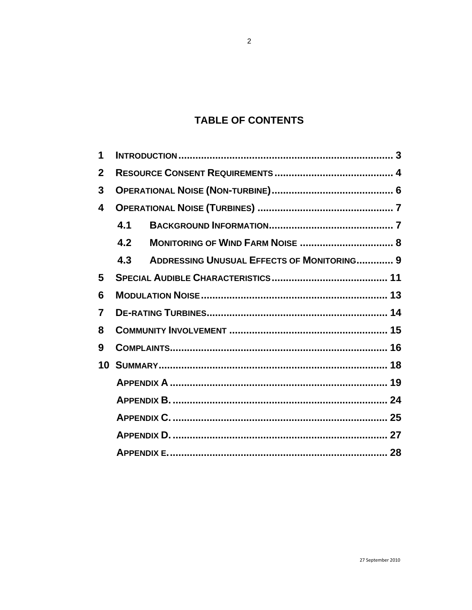# **TABLE OF CONTENTS**

| 1            |     |                                                   |  |  |  |
|--------------|-----|---------------------------------------------------|--|--|--|
| $\mathbf{2}$ |     |                                                   |  |  |  |
| $\mathbf{3}$ |     |                                                   |  |  |  |
| 4            |     |                                                   |  |  |  |
|              | 4.1 |                                                   |  |  |  |
|              | 4.2 |                                                   |  |  |  |
|              | 4.3 | <b>ADDRESSING UNUSUAL EFFECTS OF MONITORING 9</b> |  |  |  |
| 5            |     |                                                   |  |  |  |
| 6            |     |                                                   |  |  |  |
| 7            |     |                                                   |  |  |  |
| 8            |     |                                                   |  |  |  |
| 9            |     |                                                   |  |  |  |
| 10           |     |                                                   |  |  |  |
|              |     |                                                   |  |  |  |
|              |     |                                                   |  |  |  |
|              |     |                                                   |  |  |  |
|              |     |                                                   |  |  |  |
|              |     |                                                   |  |  |  |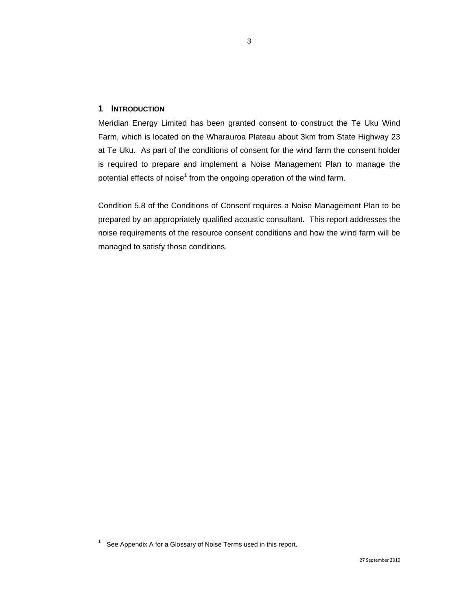### **1 INTRODUCTION**

Meridian Energy Limited has been granted consent to construct the Te Uku Wind Farm, which is located on the Wharauroa Plateau about 3km from State Highway 23 at Te Uku. As part of the conditions of consent for the wind farm the consent holder is required to prepare and implement a Noise Management Plan to manage the potential effects of noise<sup>1</sup> from the ongoing operation of the wind farm.

Condition 5.8 of the Conditions of Consent requires a Noise Management Plan to be prepared by an appropriately qualified acoustic consultant. This report addresses the noise requirements of the resource consent conditions and how the wind farm will be managed to satisfy those conditions.

 $\frac{1}{1}$ See Appendix A for a Glossary of Noise Terms used in this report.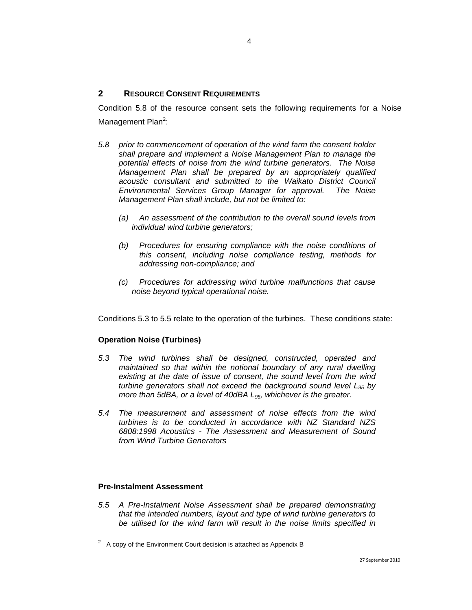## **2 RESOURCE CONSENT REQUIREMENTS**

Condition 5.8 of the resource consent sets the following requirements for a Noise Management Plan<sup>2</sup>:

- *5.8 prior to commencement of operation of the wind farm the consent holder shall prepare and implement a Noise Management Plan to manage the potential effects of noise from the wind turbine generators. The Noise Management Plan shall be prepared by an appropriately qualified acoustic consultant and submitted to the Waikato District Council Environmental Services Group Manager for approval. The Noise Management Plan shall include, but not be limited to:* 
	- *(a) An assessment of the contribution to the overall sound levels from individual wind turbine generators;*
	- *(b) Procedures for ensuring compliance with the noise conditions of this consent, including noise compliance testing, methods for addressing non-compliance; and*
	- *(c) Procedures for addressing wind turbine malfunctions that cause noise beyond typical operational noise.*

Conditions 5.3 to 5.5 relate to the operation of the turbines. These conditions state:

## **Operation Noise (Turbines)**

- *5.3 The wind turbines shall be designed, constructed, operated and maintained so that within the notional boundary of any rural dwelling existing at the date of issue of consent, the sound level from the wind turbine generators shall not exceed the background sound level L95 by more than 5dBA, or a level of 40dBA L<sub>95</sub>, whichever is the greater.*
- *5.4 The measurement and assessment of noise effects from the wind turbines is to be conducted in accordance with NZ Standard NZS 6808:1998 Acoustics - The Assessment and Measurement of Sound from Wind Turbine Generators*

#### **Pre-Instalment Assessment**

l

*5.5 A Pre-Instalment Noise Assessment shall be prepared demonstrating that the intended numbers, layout and type of wind turbine generators to be utilised for the wind farm will result in the noise limits specified in* 

 $2^2$  A copy of the Environment Court decision is attached as Appendix B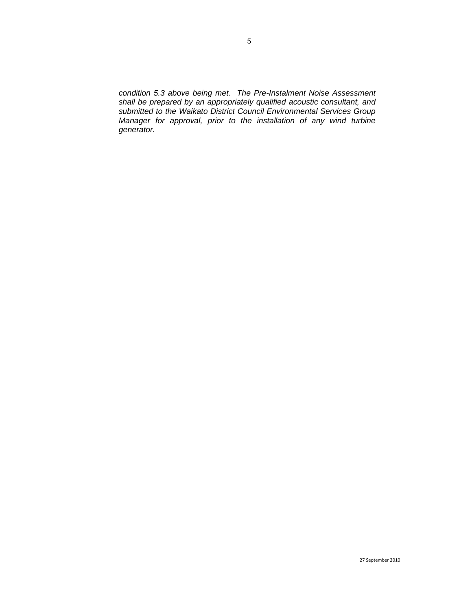*condition 5.3 above being met. The Pre-Instalment Noise Assessment shall be prepared by an appropriately qualified acoustic consultant, and submitted to the Waikato District Council Environmental Services Group Manager for approval, prior to the installation of any wind turbine generator.*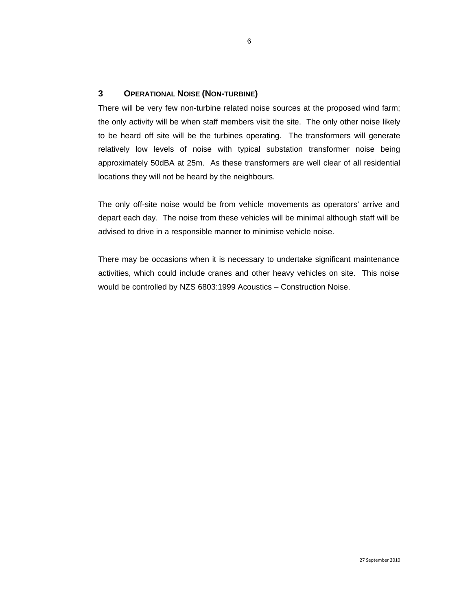## **3 OPERATIONAL NOISE (NON-TURBINE)**

There will be very few non-turbine related noise sources at the proposed wind farm; the only activity will be when staff members visit the site. The only other noise likely to be heard off site will be the turbines operating. The transformers will generate relatively low levels of noise with typical substation transformer noise being approximately 50dBA at 25m. As these transformers are well clear of all residential locations they will not be heard by the neighbours.

The only off-site noise would be from vehicle movements as operators' arrive and depart each day. The noise from these vehicles will be minimal although staff will be advised to drive in a responsible manner to minimise vehicle noise.

There may be occasions when it is necessary to undertake significant maintenance activities, which could include cranes and other heavy vehicles on site. This noise would be controlled by NZS 6803:1999 Acoustics – Construction Noise.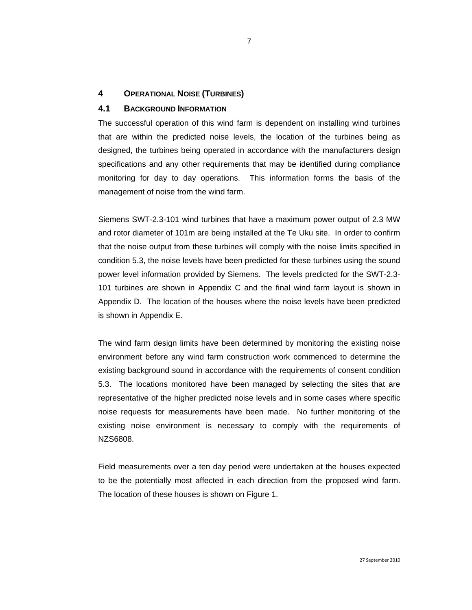## **4 OPERATIONAL NOISE (TURBINES)**

#### **4.1 BACKGROUND INFORMATION**

The successful operation of this wind farm is dependent on installing wind turbines that are within the predicted noise levels, the location of the turbines being as designed, the turbines being operated in accordance with the manufacturers design specifications and any other requirements that may be identified during compliance monitoring for day to day operations. This information forms the basis of the management of noise from the wind farm.

Siemens SWT-2.3-101 wind turbines that have a maximum power output of 2.3 MW and rotor diameter of 101m are being installed at the Te Uku site. In order to confirm that the noise output from these turbines will comply with the noise limits specified in condition 5.3, the noise levels have been predicted for these turbines using the sound power level information provided by Siemens. The levels predicted for the SWT-2.3- 101 turbines are shown in Appendix C and the final wind farm layout is shown in Appendix D. The location of the houses where the noise levels have been predicted is shown in Appendix E.

The wind farm design limits have been determined by monitoring the existing noise environment before any wind farm construction work commenced to determine the existing background sound in accordance with the requirements of consent condition 5.3. The locations monitored have been managed by selecting the sites that are representative of the higher predicted noise levels and in some cases where specific noise requests for measurements have been made. No further monitoring of the existing noise environment is necessary to comply with the requirements of NZS6808.

Field measurements over a ten day period were undertaken at the houses expected to be the potentially most affected in each direction from the proposed wind farm. The location of these houses is shown on Figure 1.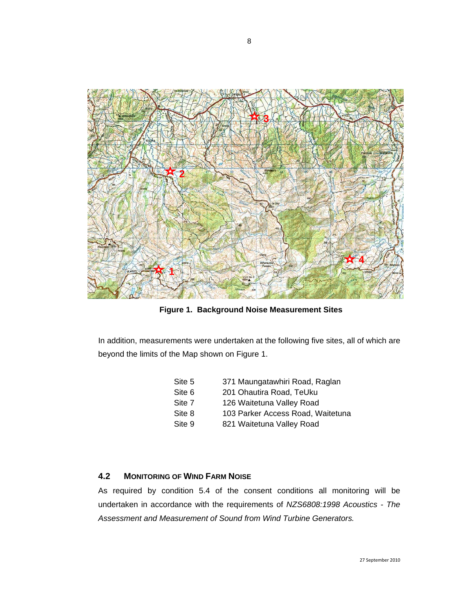

**Figure 1. Background Noise Measurement Sites**

In addition, measurements were undertaken at the following five sites, all of which are beyond the limits of the Map shown on Figure 1.

| 371 Maungatawhiri Road, Raglan    |
|-----------------------------------|
| 201 Ohautira Road, TeUku          |
| 126 Waitetuna Valley Road         |
| 103 Parker Access Road, Waitetuna |
| 821 Waitetuna Valley Road         |
|                                   |

## **4.2 MONITORING OF WIND FARM NOISE**

As required by condition 5.4 of the consent conditions all monitoring will be undertaken in accordance with the requirements of *NZS6808:1998 Acoustics - The Assessment and Measurement of Sound from Wind Turbine Generators.*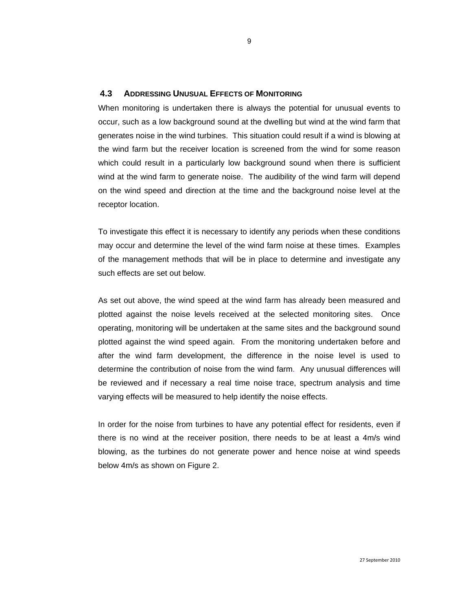## **4.3 ADDRESSING UNUSUAL EFFECTS OF MONITORING**

When monitoring is undertaken there is always the potential for unusual events to occur, such as a low background sound at the dwelling but wind at the wind farm that generates noise in the wind turbines. This situation could result if a wind is blowing at the wind farm but the receiver location is screened from the wind for some reason which could result in a particularly low background sound when there is sufficient wind at the wind farm to generate noise. The audibility of the wind farm will depend on the wind speed and direction at the time and the background noise level at the receptor location.

To investigate this effect it is necessary to identify any periods when these conditions may occur and determine the level of the wind farm noise at these times. Examples of the management methods that will be in place to determine and investigate any such effects are set out below.

As set out above, the wind speed at the wind farm has already been measured and plotted against the noise levels received at the selected monitoring sites. Once operating, monitoring will be undertaken at the same sites and the background sound plotted against the wind speed again. From the monitoring undertaken before and after the wind farm development, the difference in the noise level is used to determine the contribution of noise from the wind farm. Any unusual differences will be reviewed and if necessary a real time noise trace, spectrum analysis and time varying effects will be measured to help identify the noise effects.

In order for the noise from turbines to have any potential effect for residents, even if there is no wind at the receiver position, there needs to be at least a 4m/s wind blowing, as the turbines do not generate power and hence noise at wind speeds below 4m/s as shown on Figure 2.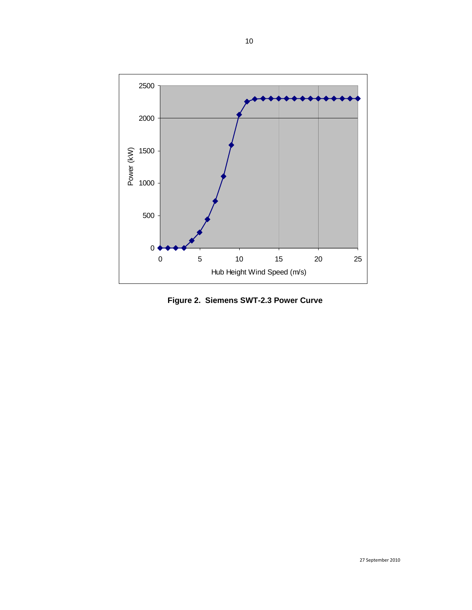

**Figure 2. Siemens SWT-2.3 Power Curve**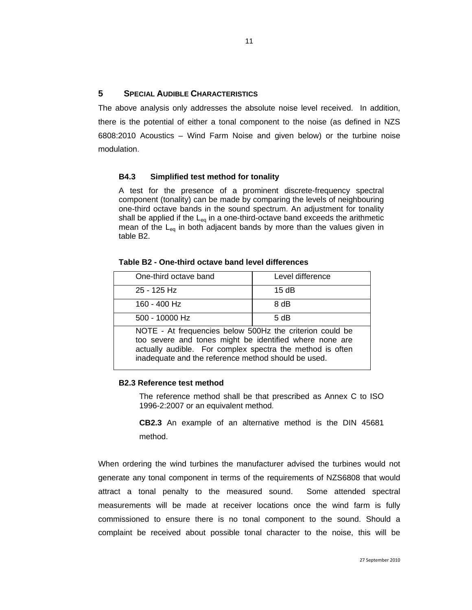## **5 SPECIAL AUDIBLE CHARACTERISTICS**

The above analysis only addresses the absolute noise level received. In addition, there is the potential of either a tonal component to the noise (as defined in NZS 6808:2010 Acoustics – Wind Farm Noise and given below) or the turbine noise modulation.

#### **B4.3 Simplified test method for tonality**

A test for the presence of a prominent discrete-frequency spectral component (tonality) can be made by comparing the levels of neighbouring one-third octave bands in the sound spectrum. An adjustment for tonality shall be applied if the  $L_{eq}$  in a one-third-octave band exceeds the arithmetic mean of the  $L_{eq}$  in both adjacent bands by more than the values given in table B2.

| One-third octave band                                                                                                                                                                                                                   | Level difference |  |  |  |
|-----------------------------------------------------------------------------------------------------------------------------------------------------------------------------------------------------------------------------------------|------------------|--|--|--|
| 25 - 125 Hz                                                                                                                                                                                                                             | 15dB             |  |  |  |
| 160 - 400 Hz                                                                                                                                                                                                                            | 8 dB             |  |  |  |
| 500 - 10000 Hz                                                                                                                                                                                                                          | 5 dB             |  |  |  |
| NOTE - At frequencies below 500Hz the criterion could be<br>too severe and tones might be identified where none are<br>actually audible. For complex spectra the method is often<br>inadequate and the reference method should be used. |                  |  |  |  |

#### **B2.3 Reference test method**

The reference method shall be that prescribed as Annex C to ISO 1996-2:2007 or an equivalent method.

**CB2.3** An example of an alternative method is the DIN 45681 method.

When ordering the wind turbines the manufacturer advised the turbines would not generate any tonal component in terms of the requirements of NZS6808 that would attract a tonal penalty to the measured sound. Some attended spectral measurements will be made at receiver locations once the wind farm is fully commissioned to ensure there is no tonal component to the sound. Should a complaint be received about possible tonal character to the noise, this will be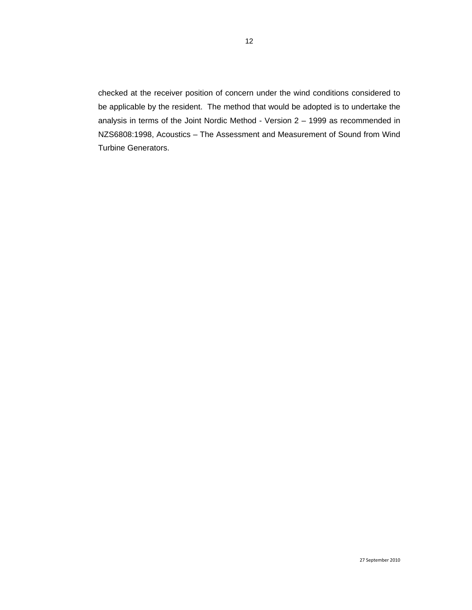checked at the receiver position of concern under the wind conditions considered to be applicable by the resident. The method that would be adopted is to undertake the analysis in terms of the Joint Nordic Method - Version 2 – 1999 as recommended in NZS6808:1998, Acoustics – The Assessment and Measurement of Sound from Wind Turbine Generators.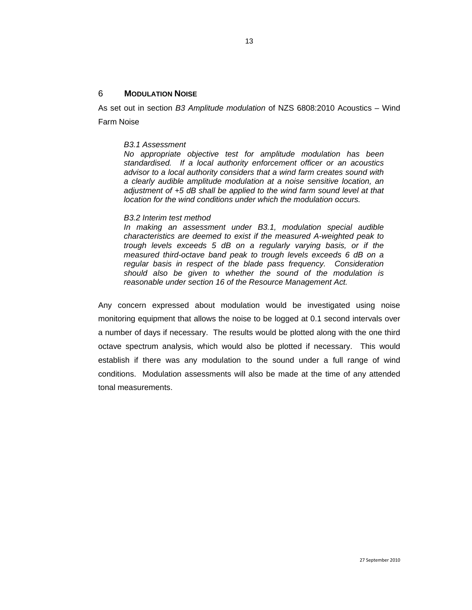#### 6 **MODULATION NOISE**

As set out in section *B3 Amplitude modulation* of NZS 6808:2010 Acoustics – Wind Farm Noise

#### *B3.1 Assessment*

*No appropriate objective test for amplitude modulation has been standardised. If a local authority enforcement officer or an acoustics advisor to a local authority considers that a wind farm creates sound with a clearly audible amplitude modulation at a noise sensitive location, an adjustment of +5 dB shall be applied to the wind farm sound level at that location for the wind conditions under which the modulation occurs.* 

#### *B3.2 Interim test method*

*In making an assessment under B3.1, modulation special audible characteristics are deemed to exist if the measured A-weighted peak to trough levels exceeds 5 dB on a regularly varying basis, or if the measured third-octave band peak to trough levels exceeds 6 dB on a regular basis in respect of the blade pass frequency. Consideration should also be given to whether the sound of the modulation is reasonable under section 16 of the Resource Management Act.* 

Any concern expressed about modulation would be investigated using noise monitoring equipment that allows the noise to be logged at 0.1 second intervals over a number of days if necessary. The results would be plotted along with the one third octave spectrum analysis, which would also be plotted if necessary. This would establish if there was any modulation to the sound under a full range of wind conditions. Modulation assessments will also be made at the time of any attended tonal measurements.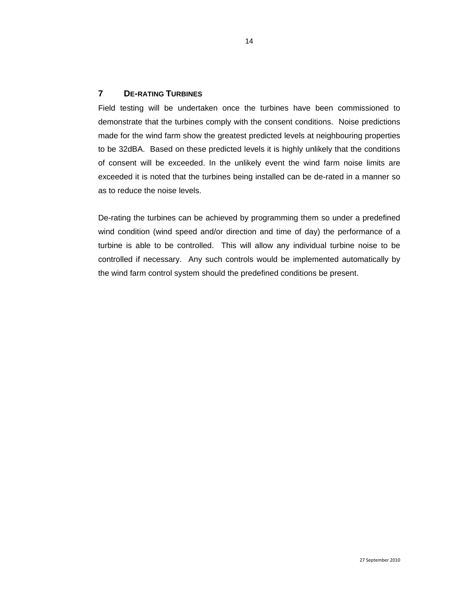## **7 DE-RATING TURBINES**

Field testing will be undertaken once the turbines have been commissioned to demonstrate that the turbines comply with the consent conditions. Noise predictions made for the wind farm show the greatest predicted levels at neighbouring properties to be 32dBA. Based on these predicted levels it is highly unlikely that the conditions of consent will be exceeded. In the unlikely event the wind farm noise limits are exceeded it is noted that the turbines being installed can be de-rated in a manner so as to reduce the noise levels.

De-rating the turbines can be achieved by programming them so under a predefined wind condition (wind speed and/or direction and time of day) the performance of a turbine is able to be controlled. This will allow any individual turbine noise to be controlled if necessary. Any such controls would be implemented automatically by the wind farm control system should the predefined conditions be present.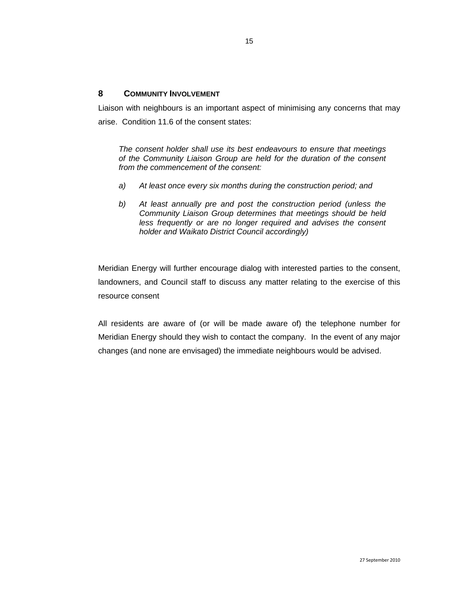## **8 COMMUNITY INVOLVEMENT**

Liaison with neighbours is an important aspect of minimising any concerns that may arise. Condition 11.6 of the consent states:

*The consent holder shall use its best endeavours to ensure that meetings of the Community Liaison Group are held for the duration of the consent from the commencement of the consent:* 

- *a) At least once every six months during the construction period; and*
- *b) At least annually pre and post the construction period (unless the Community Liaison Group determines that meetings should be held*  less frequently or are no longer required and advises the consent *holder and Waikato District Council accordingly)*

Meridian Energy will further encourage dialog with interested parties to the consent, landowners, and Council staff to discuss any matter relating to the exercise of this resource consent

All residents are aware of (or will be made aware of) the telephone number for Meridian Energy should they wish to contact the company. In the event of any major changes (and none are envisaged) the immediate neighbours would be advised.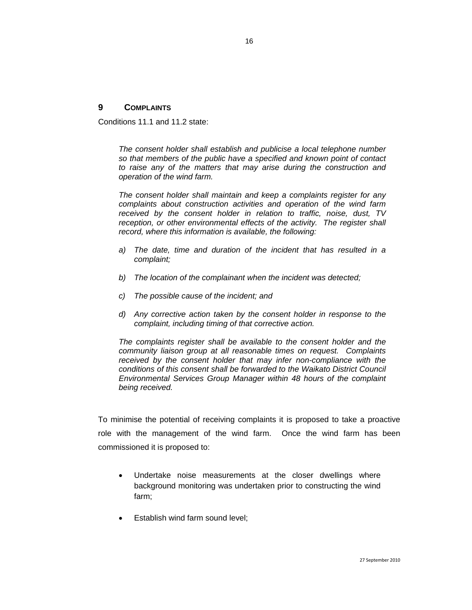## **9 COMPLAINTS**

Conditions 11.1 and 11.2 state:

*The consent holder shall establish and publicise a local telephone number so that members of the public have a specified and known point of contact to raise any of the matters that may arise during the construction and operation of the wind farm.* 

*The consent holder shall maintain and keep a complaints register for any complaints about construction activities and operation of the wind farm received by the consent holder in relation to traffic, noise, dust, TV reception, or other environmental effects of the activity. The register shall record, where this information is available, the following:* 

- *a) The date, time and duration of the incident that has resulted in a complaint;*
- *b) The location of the complainant when the incident was detected;*
- *c) The possible cause of the incident; and*
- *d) Any corrective action taken by the consent holder in response to the complaint, including timing of that corrective action.*

*The complaints register shall be available to the consent holder and the community liaison group at all reasonable times on request. Complaints received by the consent holder that may infer non-compliance with the conditions of this consent shall be forwarded to the Waikato District Council Environmental Services Group Manager within 48 hours of the complaint being received.* 

To minimise the potential of receiving complaints it is proposed to take a proactive role with the management of the wind farm. Once the wind farm has been commissioned it is proposed to:

- Undertake noise measurements at the closer dwellings where background monitoring was undertaken prior to constructing the wind farm;
- Establish wind farm sound level;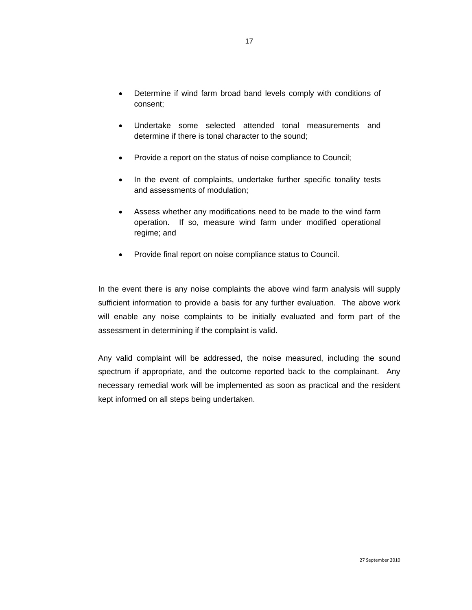- Determine if wind farm broad band levels comply with conditions of consent;
- Undertake some selected attended tonal measurements and determine if there is tonal character to the sound;
- Provide a report on the status of noise compliance to Council;
- In the event of complaints, undertake further specific tonality tests and assessments of modulation;
- Assess whether any modifications need to be made to the wind farm operation. If so, measure wind farm under modified operational regime; and
- Provide final report on noise compliance status to Council.

In the event there is any noise complaints the above wind farm analysis will supply sufficient information to provide a basis for any further evaluation. The above work will enable any noise complaints to be initially evaluated and form part of the assessment in determining if the complaint is valid.

Any valid complaint will be addressed, the noise measured, including the sound spectrum if appropriate, and the outcome reported back to the complainant. Any necessary remedial work will be implemented as soon as practical and the resident kept informed on all steps being undertaken.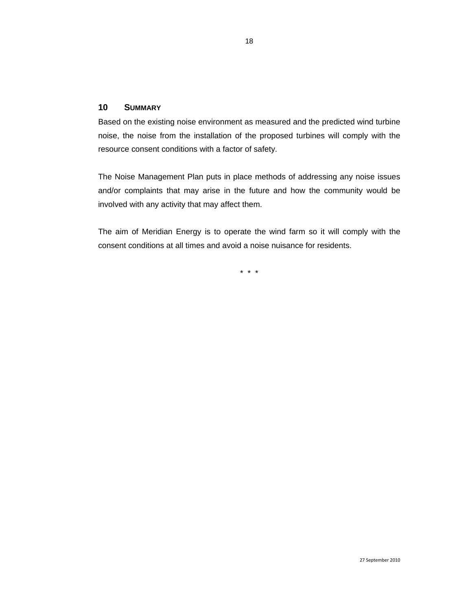## **10 SUMMARY**

Based on the existing noise environment as measured and the predicted wind turbine noise, the noise from the installation of the proposed turbines will comply with the resource consent conditions with a factor of safety.

The Noise Management Plan puts in place methods of addressing any noise issues and/or complaints that may arise in the future and how the community would be involved with any activity that may affect them.

The aim of Meridian Energy is to operate the wind farm so it will comply with the consent conditions at all times and avoid a noise nuisance for residents.

\* \* \*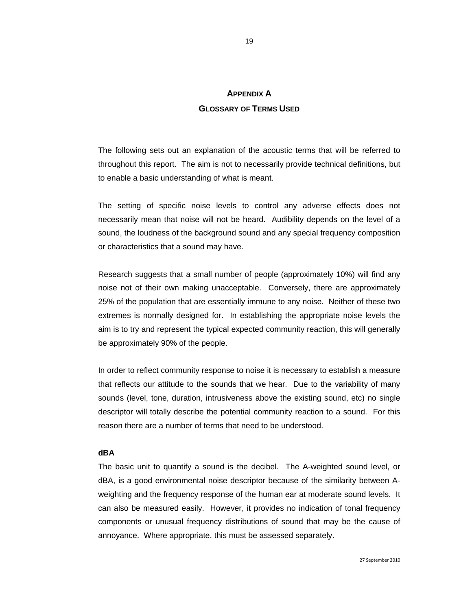# **APPENDIX A GLOSSARY OF TERMS USED**

The following sets out an explanation of the acoustic terms that will be referred to throughout this report. The aim is not to necessarily provide technical definitions, but to enable a basic understanding of what is meant.

The setting of specific noise levels to control any adverse effects does not necessarily mean that noise will not be heard. Audibility depends on the level of a sound, the loudness of the background sound and any special frequency composition or characteristics that a sound may have.

Research suggests that a small number of people (approximately 10%) will find any noise not of their own making unacceptable. Conversely, there are approximately 25% of the population that are essentially immune to any noise. Neither of these two extremes is normally designed for. In establishing the appropriate noise levels the aim is to try and represent the typical expected community reaction, this will generally be approximately 90% of the people.

In order to reflect community response to noise it is necessary to establish a measure that reflects our attitude to the sounds that we hear. Due to the variability of many sounds (level, tone, duration, intrusiveness above the existing sound, etc) no single descriptor will totally describe the potential community reaction to a sound. For this reason there are a number of terms that need to be understood.

#### **dBA**

The basic unit to quantify a sound is the decibel. The A-weighted sound level, or dBA, is a good environmental noise descriptor because of the similarity between Aweighting and the frequency response of the human ear at moderate sound levels. It can also be measured easily. However, it provides no indication of tonal frequency components or unusual frequency distributions of sound that may be the cause of annoyance. Where appropriate, this must be assessed separately.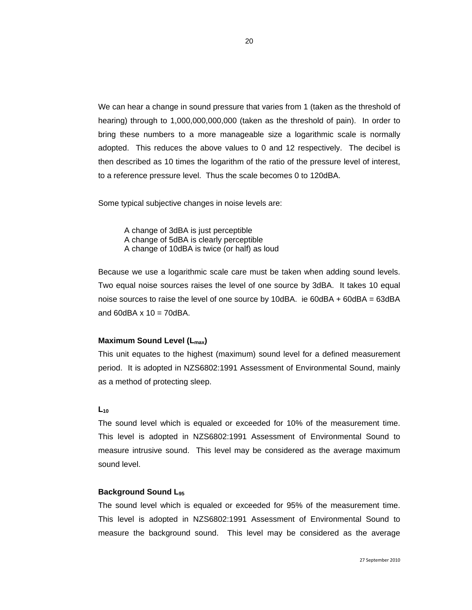We can hear a change in sound pressure that varies from 1 (taken as the threshold of hearing) through to 1,000,000,000,000 (taken as the threshold of pain). In order to bring these numbers to a more manageable size a logarithmic scale is normally adopted. This reduces the above values to 0 and 12 respectively. The decibel is then described as 10 times the logarithm of the ratio of the pressure level of interest, to a reference pressure level. Thus the scale becomes 0 to 120dBA.

Some typical subjective changes in noise levels are:

 A change of 3dBA is just perceptible A change of 5dBA is clearly perceptible A change of 10dBA is twice (or half) as loud

Because we use a logarithmic scale care must be taken when adding sound levels. Two equal noise sources raises the level of one source by 3dBA. It takes 10 equal noise sources to raise the level of one source by 10dBA. ie 60dBA + 60dBA = 63dBA and  $60$ dBA x  $10 = 70$ dBA.

#### **Maximum Sound Level (L<sub>max</sub>)**

This unit equates to the highest (maximum) sound level for a defined measurement period. It is adopted in NZS6802:1991 Assessment of Environmental Sound, mainly as a method of protecting sleep.

#### $L_{10}$

The sound level which is equaled or exceeded for 10% of the measurement time. This level is adopted in NZS6802:1991 Assessment of Environmental Sound to measure intrusive sound. This level may be considered as the average maximum sound level.

### **Background Sound L95**

The sound level which is equaled or exceeded for 95% of the measurement time. This level is adopted in NZS6802:1991 Assessment of Environmental Sound to measure the background sound. This level may be considered as the average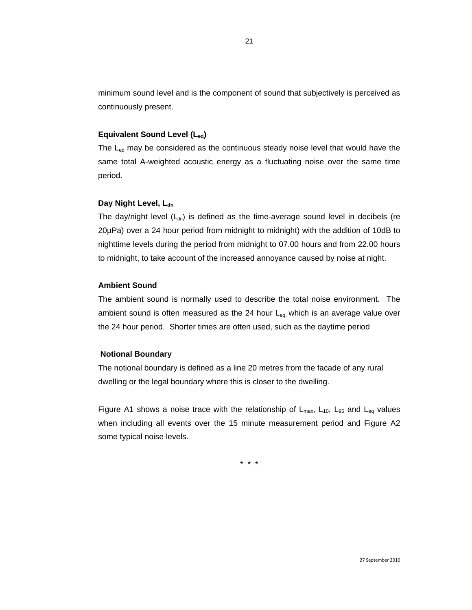minimum sound level and is the component of sound that subjectively is perceived as continuously present.

#### **Equivalent Sound Level (Leq)**

The  $L_{eq}$  may be considered as the continuous steady noise level that would have the same total A-weighted acoustic energy as a fluctuating noise over the same time period.

## **Day Night Level, Ldn**

The day/night level  $(L_{dn})$  is defined as the time-average sound level in decibels (re 20µPa) over a 24 hour period from midnight to midnight) with the addition of 10dB to nighttime levels during the period from midnight to 07.00 hours and from 22.00 hours to midnight, to take account of the increased annoyance caused by noise at night.

## **Ambient Sound**

The ambient sound is normally used to describe the total noise environment. The ambient sound is often measured as the 24 hour  $L_{eq}$ , which is an average value over the 24 hour period. Shorter times are often used, such as the daytime period

#### **Notional Boundary**

The notional boundary is defined as a line 20 metres from the facade of any rural dwelling or the legal boundary where this is closer to the dwelling.

Figure A1 shows a noise trace with the relationship of  $L_{max}$ ,  $L_{10}$ ,  $L_{95}$  and  $L_{eq}$  values when including all events over the 15 minute measurement period and Figure A2 some typical noise levels.

\* \* \*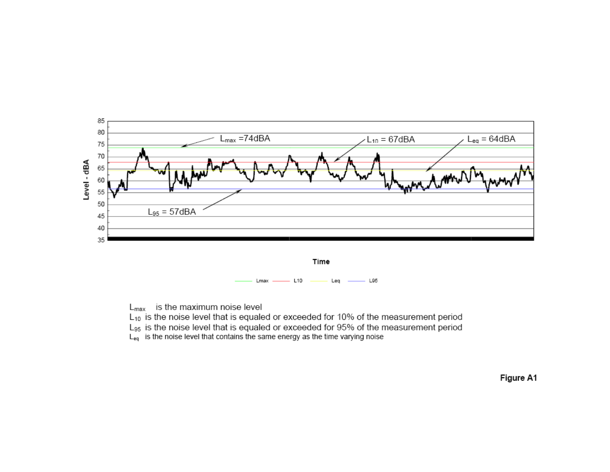

 $L_{\text{max}}$  is the maximum noise level

L<sub>10</sub> is the noise level that is equaled or exceeded for 10% of the measurement period

L<sub>95</sub> is the noise level that is equaled or exceeded for 95% of the measurement period

 $L_{eq}$  is the noise level that contains the same energy as the time varying noise

Figure A1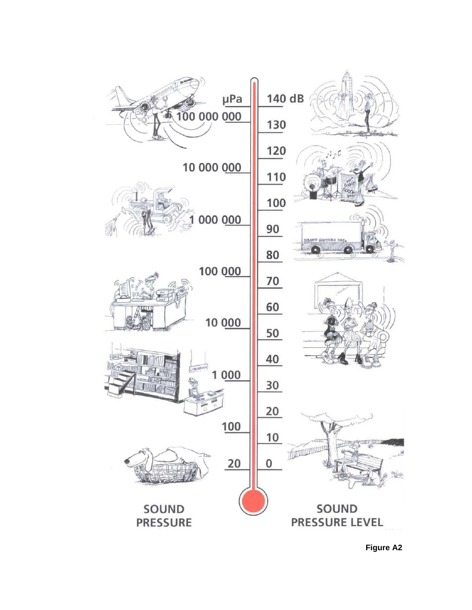

**Figure A2**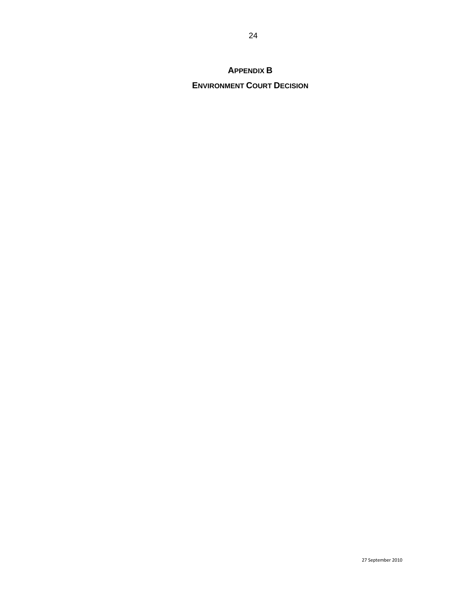## **APPENDIX B**

## **ENVIRONMENT COURT DECISION**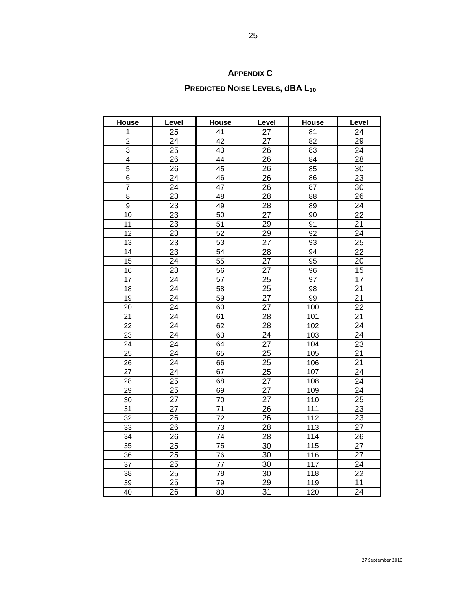## **APPENDIX C**

# **PREDICTED NOISE LEVELS, dBA L10**

| House                   | Level           | <b>House</b>    | Level           | <b>House</b> | Level           |
|-------------------------|-----------------|-----------------|-----------------|--------------|-----------------|
| 1                       | 25              | 41              | 27              | 81           | 24              |
| $\overline{2}$          | 24              | 42              | 27              | 82           | 29              |
| 3                       | 25              | 43              | 26              | 83           | 24              |
| $\overline{\mathbf{4}}$ | 26              | 44              | 26              | 84           | $\overline{28}$ |
| 5                       | 26              | 45              | 26              | 85           | 30              |
| 6                       | 24              | 46              | 26              | 86           | 23              |
| $\overline{7}$          | 24              | 47              | 26              | 87           | 30              |
| 8                       | 23              | 48              | 28              | 88           | 26              |
| 9                       | 23              | 49              | 28              | 89           | 24              |
| 10                      | 23              | 50              | $\overline{27}$ | 90           | $\overline{22}$ |
| 11                      | 23              | 51              | 29              | 91           | 21              |
| 12                      | 23              | 52              | 29              | 92           | 24              |
| 13                      | 23              | 53              | 27              | 93           | 25              |
| 14                      | $\overline{23}$ | 54              | $\overline{28}$ | 94           | $\overline{22}$ |
| 15                      | 24              | 55              | $\overline{27}$ | 95           | 20              |
| 16                      | 23              | 56              | 27              | 96           | 15              |
| 17                      | 24              | 57              | 25              | 97           | 17              |
| 18                      | 24              | 58              | $\overline{25}$ | 98           | $\overline{21}$ |
| 19                      | $\overline{24}$ | 59              | $\overline{27}$ | 99           | $\overline{21}$ |
| 20                      | 24              | 60              | $\overline{27}$ | 100          | $\overline{22}$ |
| 21                      | 24              | 61              | 28              | 101          | 21              |
| 22                      | 24              | 62              | 28              | 102          | 24              |
| 23                      | 24              | 63              | 24              | 103          | 24              |
| 24                      | 24              | 64              | $\overline{27}$ | 104          | 23              |
| 25                      | $\overline{24}$ | 65              | $\overline{25}$ | 105          | $\overline{21}$ |
| 26                      | 24              | 66              | $\overline{25}$ | 106          | $\overline{21}$ |
| 27                      | 24              | 67              | 25              | 107          | 24              |
| 28                      | 25              | 68              | 27              | 108          | 24              |
| 29                      | $\overline{25}$ | 69              | $\overline{27}$ | 109          | $\overline{24}$ |
| 30                      | 27              | 70              | $\overline{27}$ | 110          | 25              |
| 31                      | $\overline{27}$ | 71              | $\overline{26}$ | 111          | $\overline{23}$ |
| 32                      | 26              | 72              | 26              | 112          | 23              |
| 33                      | 26              | 73              | $\overline{28}$ | 113          | 27              |
| 34                      | 26              | $\overline{74}$ | $\overline{28}$ | 114          | 26              |
| 35                      | $\overline{25}$ | $\overline{75}$ | $\overline{30}$ | 115          | $\overline{27}$ |
| 36                      | $\overline{25}$ | 76              | $\overline{30}$ | 116          | $\overline{27}$ |
| 37                      | 25              | 77              | 30              | 117          | 24              |
| 38                      | 25              | 78              | 30              | 118          | 22              |
| 39                      | 25              | $\overline{79}$ | 29              | 119          | 11              |
| 40                      | $\overline{26}$ | 80              | $\overline{31}$ | 120          | $\overline{24}$ |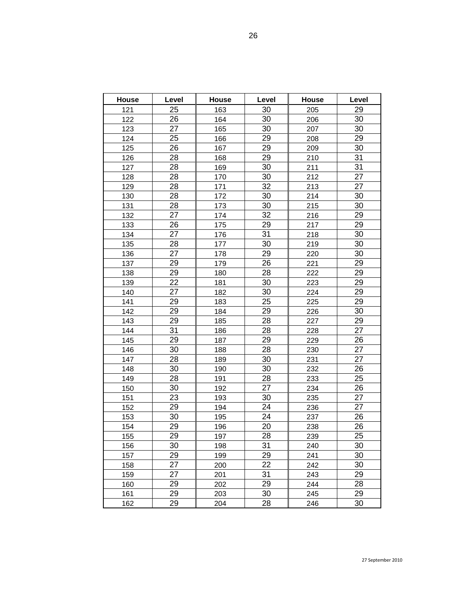| House | Level | House | Level           | House | Level |
|-------|-------|-------|-----------------|-------|-------|
| 121   | 25    | 163   | 30              | 205   | 29    |
| 122   | 26    | 164   | 30              | 206   | 30    |
| 123   | 27    | 165   | 30              | 207   | 30    |
| 124   | 25    | 166   | 29              | 208   | 29    |
| 125   | 26    | 167   | 29              | 209   | 30    |
| 126   | 28    | 168   | 29              | 210   | 31    |
| 127   | 28    | 169   | 30              | 211   | 31    |
| 128   | 28    | 170   | 30              | 212   | 27    |
| 129   | 28    | 171   | 32              | 213   | 27    |
| 130   | 28    | 172   | 30              | 214   | 30    |
| 131   | 28    | 173   | 30              | 215   | 30    |
| 132   | 27    | 174   | 32              | 216   | 29    |
| 133   | 26    | 175   | 29              | 217   | 29    |
| 134   | 27    | 176   | 31              | 218   | 30    |
| 135   | 28    | 177   | $\overline{30}$ | 219   | 30    |
| 136   | 27    | 178   | 29              | 220   | 30    |
| 137   | 29    | 179   | 26              | 221   | 29    |
| 138   | 29    | 180   | 28              | 222   | 29    |
| 139   | 22    | 181   | 30              | 223   | 29    |
| 140   | 27    | 182   | 30              | 224   | 29    |
| 141   | 29    | 183   | 25              | 225   | 29    |
| 142   | 29    | 184   | 29              | 226   | 30    |
| 143   | 29    | 185   | 28              | 227   | 29    |
| 144   | 31    | 186   | 28              | 228   | 27    |
| 145   | 29    | 187   | 29              | 229   | 26    |
| 146   | 30    | 188   | 28              | 230   | 27    |
| 147   | 28    | 189   | 30              | 231   | 27    |
| 148   | 30    | 190   | 30              | 232   | 26    |
| 149   | 28    | 191   | 28              | 233   | 25    |
| 150   | 30    | 192   | 27              | 234   | 26    |
| 151   | 23    | 193   | 30              | 235   | 27    |
| 152   | 29    | 194   | 24              | 236   | 27    |
| 153   | 30    | 195   | 24              | 237   | 26    |
| 154   | 29    | 196   | 20              | 238   | 26    |
| 155   | 29    | 197   | 28              | 239   | 25    |
| 156   | 30    | 198   | 31              | 240   | 30    |
| 157   | 29    | 199   | 29              | 241   | 30    |
| 158   | 27    | 200   | 22              | 242   | 30    |
| 159   | 27    | 201   | 31              | 243   | 29    |
| 160   | 29    | 202   | 29              | 244   | 28    |
| 161   | 29    | 203   | 30              | 245   | 29    |
| 162   | 29    | 204   | 28              | 246   | 30    |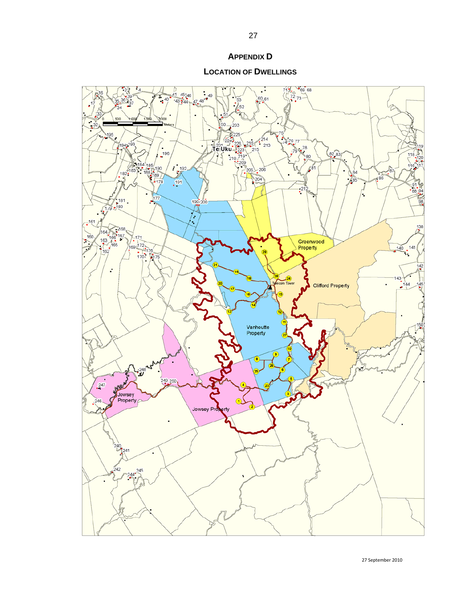### **APPENDIX D**

**LOCATION OF DWELLINGS**